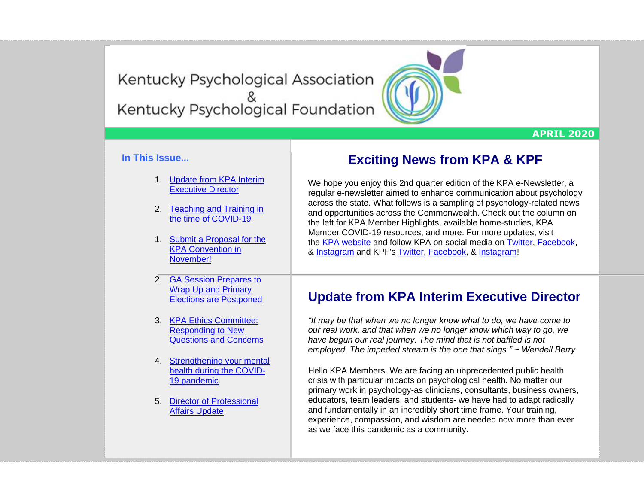Kentucky Psychological Association<br>Kentucky Psychological Foundation

#### **APRIL 2020**

#### **In This Issue...**

- 1. [Update from KPA Interim](https://kpa.memberclicks.net/administrator/index.php?option=com_mccore&view=contactcenter#ED-update)  [Executive Director](https://kpa.memberclicks.net/administrator/index.php?option=com_mccore&view=contactcenter#ED-update)
- 2. [Teaching and Training in](https://kpa.memberclicks.net/administrator/index.php?option=com_mccore&view=contactcenter#Teaching)  [the time of COVID-19](https://kpa.memberclicks.net/administrator/index.php?option=com_mccore&view=contactcenter#Teaching)
- 1. [Submit a Proposal for the](https://kpa.memberclicks.net/administrator/index.php?option=com_mccore&view=contactcenter#Proposal)  [KPA Convention in](https://kpa.memberclicks.net/administrator/index.php?option=com_mccore&view=contactcenter#Proposal)  [November!](https://kpa.memberclicks.net/administrator/index.php?option=com_mccore&view=contactcenter#Proposal)

2. [GA Session Prepares to](https://kpa.memberclicks.net/administrator/index.php?option=com_mccore&view=contactcenter#Elections)  [Wrap Up and Primary](https://kpa.memberclicks.net/administrator/index.php?option=com_mccore&view=contactcenter#Elections)  [Elections are Postponed](https://kpa.memberclicks.net/administrator/index.php?option=com_mccore&view=contactcenter#Elections)

3. [KPA Ethics Committee:](https://kpa.memberclicks.net/administrator/index.php?option=com_mccore&view=contactcenter#Ethics)  [Responding to New](https://kpa.memberclicks.net/administrator/index.php?option=com_mccore&view=contactcenter#Ethics)  [Questions and Concerns](https://kpa.memberclicks.net/administrator/index.php?option=com_mccore&view=contactcenter#Ethics)

- 4. [Strengthening your mental](https://kpa.memberclicks.net/administrator/index.php?option=com_mccore&view=contactcenter#KPF)  [health during the COVID-](https://kpa.memberclicks.net/administrator/index.php?option=com_mccore&view=contactcenter#KPF)[19 pandemic](https://kpa.memberclicks.net/administrator/index.php?option=com_mccore&view=contactcenter#KPF)
- 5. [Director of Professional](https://kpa.memberclicks.net/administrator/index.php?option=com_mccore&view=contactcenter#DPA)  [Affairs Update](https://kpa.memberclicks.net/administrator/index.php?option=com_mccore&view=contactcenter#DPA)

## **Exciting News from KPA & KPF**

We hope you enjoy this 2nd quarter edition of the KPA e-Newsletter, a regular e-newsletter aimed to enhance communication about psychology across the state. What follows is a sampling of psychology-related news and opportunities across the Commonwealth. Check out the column on the left for KPA Member Highlights, available home-studies, KPA Member COVID-19 resources, and more. For more updates, visit the [KPA website](http://www.kpa.org/) and follow KPA on social media on [Twitter,](https://twitter.com/KYPsychAssoc) [Facebook,](https://www.facebook.com/KentuckyPsychAssociation/) & [Instagram](https://www.instagram.com/kypsychassoc/) and KPF's [Twitter,](https://twitter.com/KYPsychFnd) [Facebook,](https://www.facebook.com/KYPsychologicalFoundation/) & [Instagram!](https://www.instagram.com/ky_psychfnd/)

## **Update from KPA Interim Executive Director**

*"It may be that when we no longer know what to do, we have come to our real work, and that when we no longer know which way to go, we have begun our real journey. The mind that is not baffled is not employed. The impeded stream is the one that sings." ~ Wendell Berry*

Hello KPA Members. We are facing an unprecedented public health crisis with particular impacts on psychological health. No matter our primary work in psychology-as clinicians, consultants, business owners, educators, team leaders, and students- we have had to adapt radically and fundamentally in an incredibly short time frame. Your training, experience, compassion, and wisdom are needed now more than ever as we face this pandemic as a community.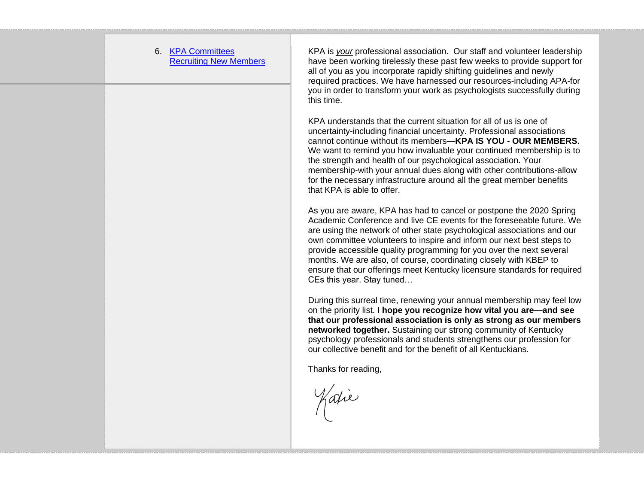6. [KPA Committees](https://kpa.memberclicks.net/administrator/index.php?option=com_mccore&view=contactcenter#Committees)  [Recruiting New Members](https://kpa.memberclicks.net/administrator/index.php?option=com_mccore&view=contactcenter#Committees)

KPA is *your* professional association. Our staff and volunteer leadership have been working tirelessly these past few weeks to provide support for all of you as you incorporate rapidly shifting guidelines and newly required practices. We have harnessed our resources-including APA-for you in order to transform your work as psychologists successfully during this time.

KPA understands that the current situation for all of us is one of uncertainty-including financial uncertainty. Professional associations cannot continue without its members—**KPA IS YOU - OUR MEMBERS**. We want to remind you how invaluable your continued membership is to the strength and health of our psychological association. Your membership-with your annual dues along with other contributions-allow for the necessary infrastructure around all the great member benefits that KPA is able to offer.

As you are aware, KPA has had to cancel or postpone the 2020 Spring Academic Conference and live CE events for the foreseeable future. We are using the network of other state psychological associations and our own committee volunteers to inspire and inform our next best steps to provide accessible quality programming for you over the next several months. We are also, of course, coordinating closely with KBEP to ensure that our offerings meet Kentucky licensure standards for required CEs this year. Stay tuned…

During this surreal time, renewing your annual membership may feel low on the priority list. **I hope you recognize how vital you are—and see that our professional association is only as strong as our members networked together.** Sustaining our strong community of Kentucky psychology professionals and students strengthens our profession for our collective benefit and for the benefit of all Kentuckians.

Thanks for reading,

Varie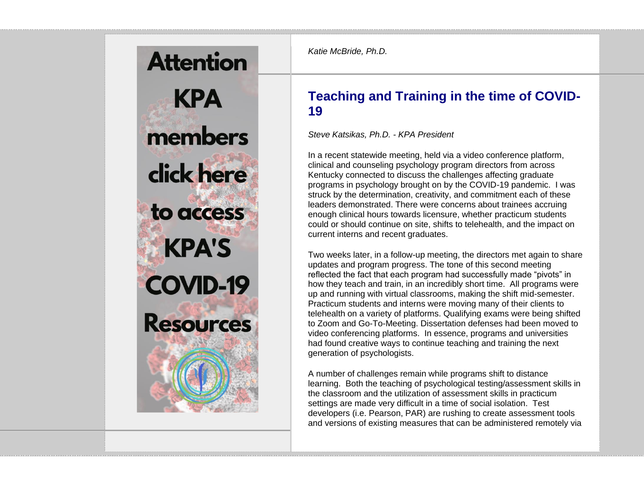# **Attention KPA** members click here to access **KPA'S COVID-19 Resources**

*Katie McBride, Ph.D.*

# **Teaching and Training in the time of COVID-19**

*Steve Katsikas, Ph.D. - KPA President*

In a recent statewide meeting, held via a video conference platform, clinical and counseling psychology program directors from across Kentucky connected to discuss the challenges affecting graduate programs in psychology brought on by the COVID-19 pandemic. I was struck by the determination, creativity, and commitment each of these leaders demonstrated. There were concerns about trainees accruing enough clinical hours towards licensure, whether practicum students could or should continue on site, shifts to telehealth, and the impact on current interns and recent graduates.

Two weeks later, in a follow-up meeting, the directors met again to share updates and program progress. The tone of this second meeting reflected the fact that each program had successfully made "pivots" in how they teach and train, in an incredibly short time. All programs were up and running with virtual classrooms, making the shift mid-semester. Practicum students and interns were moving many of their clients to telehealth on a variety of platforms. Qualifying exams were being shifted to Zoom and Go-To-Meeting. Dissertation defenses had been moved to video conferencing platforms. In essence, programs and universities had found creative ways to continue teaching and training the next generation of psychologists.

A number of challenges remain while programs shift to distance learning. Both the teaching of psychological testing/assessment skills in the classroom and the utilization of assessment skills in practicum settings are made very difficult in a time of social isolation. Test developers (i.e. Pearson, PAR) are rushing to create assessment tools and versions of existing measures that can be administered remotely via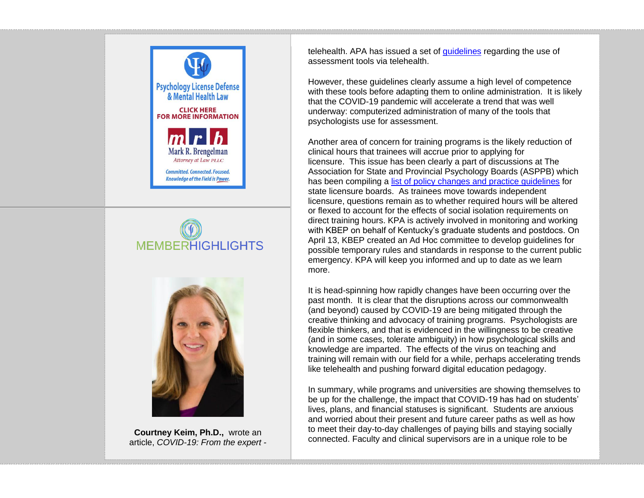





**Courtney Keim, Ph.D.,** wrote an article, *COVID-19: From the expert -*

telehealth. APA has issued a set of [guidelines](https://www.apaservices.org/practice/reimbursement/health-codes/testing/tele-assessment-covid-19) regarding the use of assessment tools via telehealth.

However, these guidelines clearly assume a high level of competence with these tools before adapting them to online administration. It is likely that the COVID-19 pandemic will accelerate a trend that was well underway: computerized administration of many of the tools that psychologists use for assessment.

Another area of concern for training programs is the likely reduction of clinical hours that trainees will accrue prior to applying for licensure. This issue has been clearly a part of discussions at The Association for State and Provincial Psychology Boards (ASPPB) which has been compiling a [list of policy changes and practice guidelines](https://www.asppb.net/page/covid19) for state licensure boards. As trainees move towards independent licensure, questions remain as to whether required hours will be altered or flexed to account for the effects of social isolation requirements on direct training hours. KPA is actively involved in monitoring and working with KBEP on behalf of Kentucky's graduate students and postdocs. On April 13, KBEP created an Ad Hoc committee to develop guidelines for possible temporary rules and standards in response to the current public emergency. KPA will keep you informed and up to date as we learn more.

It is head-spinning how rapidly changes have been occurring over the past month. It is clear that the disruptions across our commonwealth (and beyond) caused by COVID-19 are being mitigated through the creative thinking and advocacy of training programs. Psychologists are flexible thinkers, and that is evidenced in the willingness to be creative (and in some cases, tolerate ambiguity) in how psychological skills and knowledge are imparted. The effects of the virus on teaching and training will remain with our field for a while, perhaps accelerating trends like telehealth and pushing forward digital education pedagogy.

In summary, while programs and universities are showing themselves to be up for the challenge, the impact that COVID-19 has had on students' lives, plans, and financial statuses is significant. Students are anxious and worried about their present and future career paths as well as how to meet their day-to-day challenges of paying bills and staying socially connected. Faculty and clinical supervisors are in a unique role to be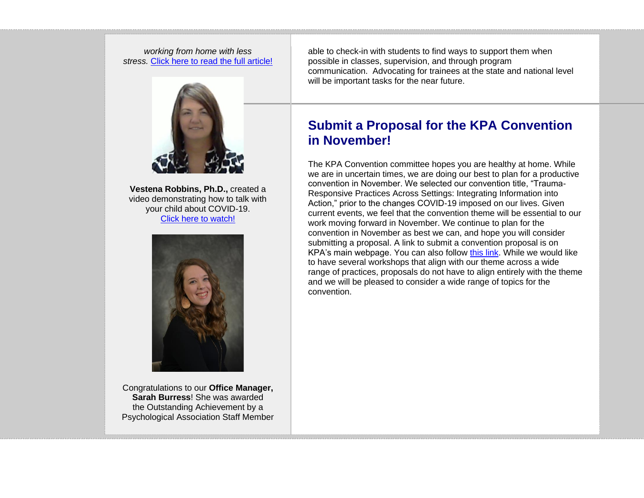*working from home with less stress.* [Click here to read the full article!](https://www.bellarmine.edu/news/archives/2020/03/18/covid-19-expert-keim-working-from-home/)



**Vestena Robbins, Ph.D.,** created a video demonstrating how to talk with your child about COVID-19. [Click here to watch!](https://streamable.com/73rwd)



Congratulations to our **Office Manager, Sarah Burress**! She was awarded the Outstanding Achievement by a Psychological Association Staff Member able to check-in with students to find ways to support them when possible in classes, supervision, and through program communication. Advocating for trainees at the state and national level will be important tasks for the near future.

## **Submit a Proposal for the KPA Convention in November!**

The KPA Convention committee hopes you are healthy at home. While we are in uncertain times, we are doing our best to plan for a productive convention in November. We selected our convention title, "Trauma-Responsive Practices Across Settings: Integrating Information into Action," prior to the changes COVID-19 imposed on our lives. Given current events, we feel that the convention theme will be essential to our work moving forward in November. We continue to plan for the convention in November as best we can, and hope you will consider submitting a proposal. A link to submit a convention proposal is on KPA's main webpage. You can also follow [this link.](https://kpa.memberclicks.net/index.php?option=com_mcform&view=ngforms&id=2007568#/) While we would like to have several workshops that align with our theme across a wide range of practices, proposals do not have to align entirely with the theme and we will be pleased to consider a wide range of topics for the convention.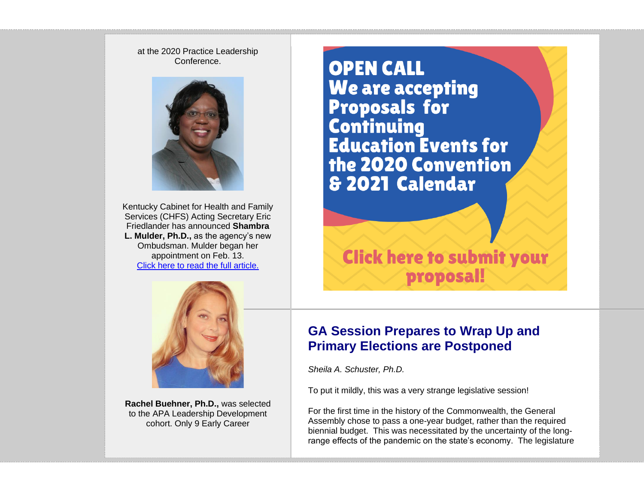at the 2020 Practice Leadership **Conference** 



Kentucky Cabinet for Health and Family Services (CHFS) Acting Secretary Eric Friedlander has announced **Shambra L. Mulder, Ph.D.,** as the agency's new Ombudsman. Mulder began her appointment on Feb. 13. [Click here to read the full article.](https://mailchi.mp/a133e694942f/musgrave-named-director-of-government-relations-for-department-of-education-1300073?e=0a9ccc1203)



**Rachel Buehner, Ph.D.,** was selected to the APA Leadership Development cohort. Only 9 Early Career

**OPEN CALL We are accepting Proposals for Continuing Education Events for** the 2020 Convention & 2021 Calendar

**Click here to submit your** proposal!

## **GA Session Prepares to Wrap Up and Primary Elections are Postponed**

*Sheila A. Schuster, Ph.D.*

To put it mildly, this was a very strange legislative session!

For the first time in the history of the Commonwealth, the General Assembly chose to pass a one-year budget, rather than the required biennial budget. This was necessitated by the uncertainty of the longrange effects of the pandemic on the state's economy. The legislature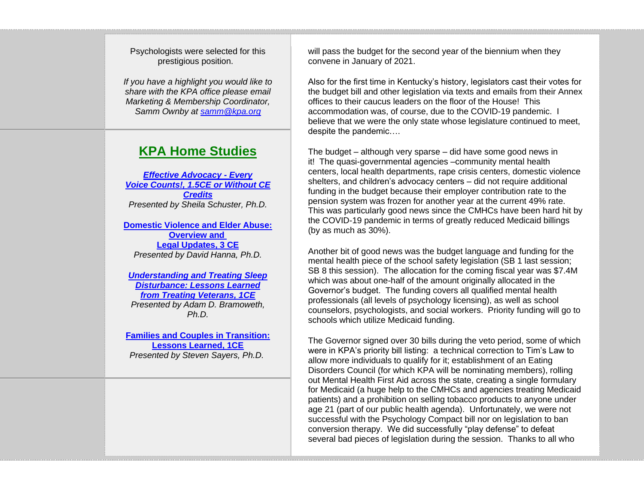Psychologists were selected for this prestigious position.

*If you have a highlight you would like to share with the KPA office please email Marketing & Membership Coordinator, Samm Ownby at [samm@kpa.org](mailto:samm@kpa.org)*

## **KPA Home Studies**

*[Effective Advocacy -](https://kpa.memberclicks.net/all_home_studies) Every Voice [Counts!, 1.5CE or Without CE](https://kpa.memberclicks.net/all_home_studies)  [Credits](https://kpa.memberclicks.net/all_home_studies) Presented by Sheila Schuster, Ph.D.*

**[Domestic Violence and Elder Abuse:](https://kpa.memberclicks.net/kpa-home-study-domestic-violence-and-elder-abuse--overview-and-legal-updates--3-ce)  [Overview and](https://kpa.memberclicks.net/kpa-home-study-domestic-violence-and-elder-abuse--overview-and-legal-updates--3-ce) [Legal Updates, 3 CE](https://kpa.memberclicks.net/kpa-home-study-domestic-violence-and-elder-abuse--overview-and-legal-updates--3-ce)** *Presented by David Hanna, Ph.D.*

*[Understanding and Treating Sleep](https://kpa.memberclicks.net/all_home_studies)  [Disturbance: Lessons Learned](https://kpa.memberclicks.net/all_home_studies)  from [Treating Veterans, 1CE](https://kpa.memberclicks.net/all_home_studies) Presented by Adam D. Bramoweth, Ph.D.*

**[Families and Couples in Transition:](https://kpa.memberclicks.net/all_home_studies)  [Lessons Learned, 1CE](https://kpa.memberclicks.net/all_home_studies)** *Presented by Steven Sayers, Ph.D.*

will pass the budget for the second year of the biennium when they convene in January of 2021.

Also for the first time in Kentucky's history, legislators cast their votes for the budget bill and other legislation via texts and emails from their Annex offices to their caucus leaders on the floor of the House! This accommodation was, of course, due to the COVID-19 pandemic. I believe that we were the only state whose legislature continued to meet, despite the pandemic….

The budget – although very sparse – did have some good news in it! The quasi-governmental agencies –community mental health centers, local health departments, rape crisis centers, domestic violence shelters, and children's advocacy centers – did not require additional funding in the budget because their employer contribution rate to the pension system was frozen for another year at the current 49% rate. This was particularly good news since the CMHCs have been hard hit by the COVID-19 pandemic in terms of greatly reduced Medicaid billings (by as much as 30%).

Another bit of good news was the budget language and funding for the mental health piece of the school safety legislation (SB 1 last session; SB 8 this session). The allocation for the coming fiscal year was \$7.4M which was about one-half of the amount originally allocated in the Governor's budget. The funding covers all qualified mental health professionals (all levels of psychology licensing), as well as school counselors, psychologists, and social workers. Priority funding will go to schools which utilize Medicaid funding.

The Governor signed over 30 bills during the veto period, some of which were in KPA's priority bill listing: a technical correction to Tim's Law to allow more individuals to qualify for it; establishment of an Eating Disorders Council (for which KPA will be nominating members), rolling out Mental Health First Aid across the state, creating a single formulary for Medicaid (a huge help to the CMHCs and agencies treating Medicaid patients) and a prohibition on selling tobacco products to anyone under age 21 (part of our public health agenda). Unfortunately, we were not successful with the Psychology Compact bill nor on legislation to ban conversion therapy. We did successfully "play defense" to defeat several bad pieces of legislation during the session. Thanks to all who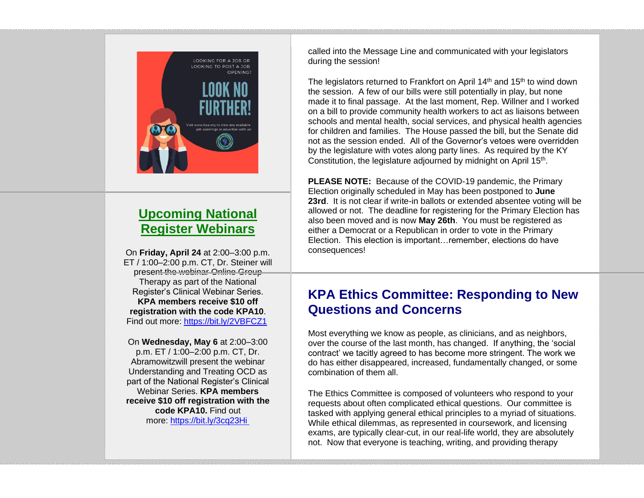

# **Upcoming National Register Webinars**

On **Friday, April 24** at 2:00–3:00 p.m. ET / 1:00–2:00 p.m. CT, Dr. Steiner will present the webinar Online Group Therapy as part of the National Register's Clinical Webinar Series. **KPA members receive \$10 off registration with the code KPA10**. Find out more: <https://bit.ly/2VBFCZ1>

On **Wednesday, May 6** at 2:00–3:00 p.m. ET / 1:00–2:00 p.m. CT, Dr. Abramowitzwill present the webinar Understanding and Treating OCD as part of the National Register's Clinical Webinar Series. **KPA members receive \$10 off registration with the code KPA10.** Find out more: <https://bit.ly/3cq23Hi>

called into the Message Line and communicated with your legislators during the session!

The legislators returned to Frankfort on April  $14<sup>th</sup>$  and  $15<sup>th</sup>$  to wind down the session. A few of our bills were still potentially in play, but none made it to final passage. At the last moment, Rep. Willner and I worked on a bill to provide community health workers to act as liaisons between schools and mental health, social services, and physical health agencies for children and families. The House passed the bill, but the Senate did not as the session ended. All of the Governor's vetoes were overridden by the legislature with votes along party lines. As required by the KY Constitution, the legislature adjourned by midnight on April 15<sup>th</sup>.

**PLEASE NOTE:** Because of the COVID-19 pandemic, the Primary Election originally scheduled in May has been postponed to **June 23rd**. It is not clear if write-in ballots or extended absentee voting will be allowed or not. The deadline for registering for the Primary Election has also been moved and is now **May 26th**. You must be registered as either a Democrat or a Republican in order to vote in the Primary Election. This election is important…remember, elections do have consequences!

## **KPA Ethics Committee: Responding to New Questions and Concerns**

Most everything we know as people, as clinicians, and as neighbors, over the course of the last month, has changed. If anything, the 'social contract' we tacitly agreed to has become more stringent. The work we do has either disappeared, increased, fundamentally changed, or some combination of them all.

The Ethics Committee is composed of volunteers who respond to your requests about often complicated ethical questions. Our committee is tasked with applying general ethical principles to a myriad of situations. While ethical dilemmas, as represented in coursework, and licensing exams, are typically clear-cut, in our real-life world, they are absolutely not. Now that everyone is teaching, writing, and providing therapy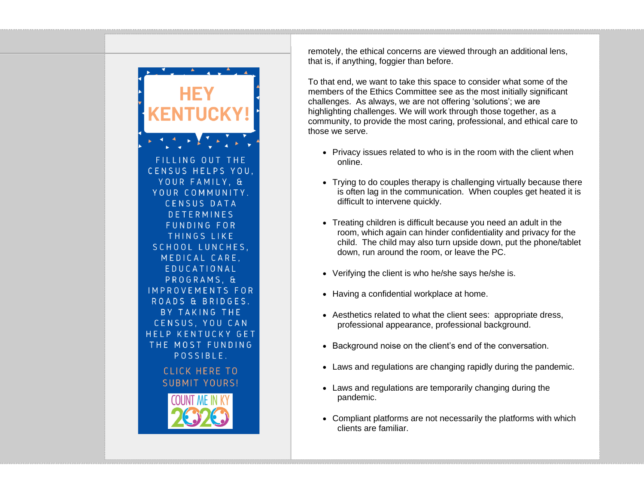

remotely, the ethical concerns are viewed through an additional lens, that is, if anything, foggier than before.

To that end, we want to take this space to consider what some of the members of the Ethics Committee see as the most initially significant challenges. As always, we are not offering 'solutions'; we are highlighting challenges. We will work through those together, as a community, to provide the most caring, professional, and ethical care to those we serve.

- Privacy issues related to who is in the room with the client when online.
- Trying to do couples therapy is challenging virtually because there is often lag in the communication. When couples get heated it is difficult to intervene quickly.
- Treating children is difficult because you need an adult in the room, which again can hinder confidentiality and privacy for the child. The child may also turn upside down, put the phone/tablet down, run around the room, or leave the PC.
- Verifying the client is who he/she says he/she is.
- Having a confidential workplace at home.
- Aesthetics related to what the client sees: appropriate dress, professional appearance, professional background.
- Background noise on the client's end of the conversation.
- Laws and regulations are changing rapidly during the pandemic.
- Laws and regulations are temporarily changing during the pandemic.
- Compliant platforms are not necessarily the platforms with which clients are familiar.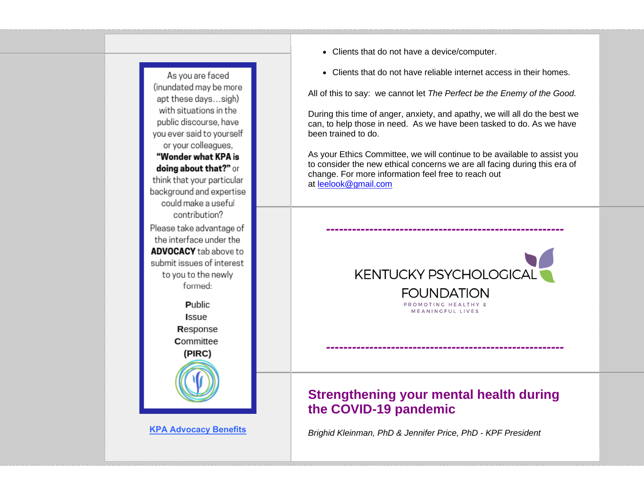

**[KPA Advocacy Benefits](https://www.kpa.org/join-the-kentucky-psychological-association-)**

- Clients that do not have a device/computer.
- Clients that do not have reliable internet access in their homes.

All of this to say: we cannot let *The Perfect be the Enemy of the Good.*

During this time of anger, anxiety, and apathy, we will all do the best we can, to help those in need. As we have been tasked to do. As we have been trained to do.

As your Ethics Committee, we will continue to be available to assist you to consider the new ethical concerns we are all facing during this era of change. For more information feel free to reach out at [leelook@gmail.com](mailto:leelook@gmail.com)

*-------------------------------------------------------*



*-------------------------------------------------------*

## **Strengthening your mental health during the COVID-19 pandemic**

*Brighid Kleinman, PhD & Jennifer Price, PhD - KPF President*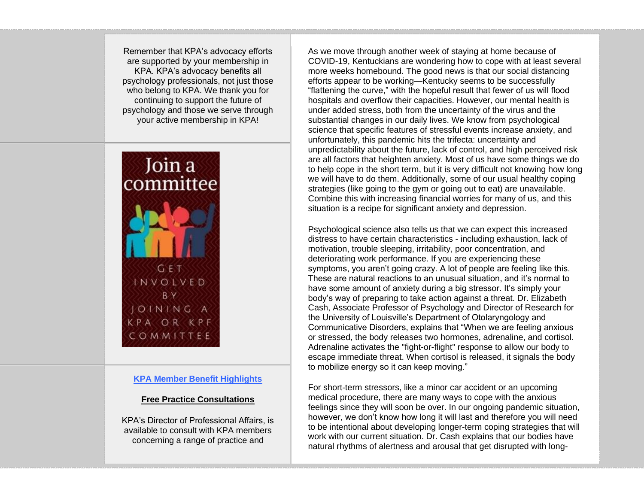Remember that KPA's advocacy efforts are supported by your membership in KPA. KPA's advocacy benefits all psychology professionals, not just those who belong to KPA. We thank you for continuing to support the future of psychology and those we serve through your active membership in KPA!



#### **KPA Member Benefit Highlights**

#### **Free Practice Consultations**

KPA's Director of Professional Affairs, is available to consult with KPA members concerning a range of practice and

As we move through another week of staying at home because of COVID-19, Kentuckians are wondering how to cope with at least several more weeks homebound. The good news is that our social distancing efforts appear to be working—Kentucky seems to be successfully "flattening the curve," with the hopeful result that fewer of us will flood hospitals and overflow their capacities. However, our mental health is under added stress, both from the uncertainty of the virus and the substantial changes in our daily lives. We know from psychological science that specific features of stressful events increase anxiety, and unfortunately, this pandemic hits the trifecta: uncertainty and unpredictability about the future, lack of control, and high perceived risk are all factors that heighten anxiety. Most of us have some things we do to help cope in the short term, but it is very difficult not knowing how long we will have to do them. Additionally, some of our usual healthy coping strategies (like going to the gym or going out to eat) are unavailable. Combine this with increasing financial worries for many of us, and this situation is a recipe for significant anxiety and depression.

Psychological science also tells us that we can expect this increased distress to have certain characteristics - including exhaustion, lack of motivation, trouble sleeping, irritability, poor concentration, and deteriorating work performance. If you are experiencing these symptoms, you aren't going crazy. A lot of people are feeling like this. These are natural reactions to an unusual situation, and it's normal to have some amount of anxiety during a big stressor. It's simply your body's way of preparing to take action against a threat. Dr. Elizabeth Cash, Associate Professor of Psychology and Director of Research for the University of Louisville's Department of Otolaryngology and Communicative Disorders, explains that "When we are feeling anxious or stressed, the body releases two hormones, adrenaline, and cortisol. Adrenaline activates the "fight-or-flight" response to allow our body to escape immediate threat. When cortisol is released, it signals the body to mobilize energy so it can keep moving."

For short-term stressors, like a minor car accident or an upcoming medical procedure, there are many ways to cope with the anxious feelings since they will soon be over. In our ongoing pandemic situation, however, we don't know how long it will last and therefore you will need to be intentional about developing longer-term coping strategies that will work with our current situation. Dr. Cash explains that our bodies have natural rhythms of alertness and arousal that get disrupted with long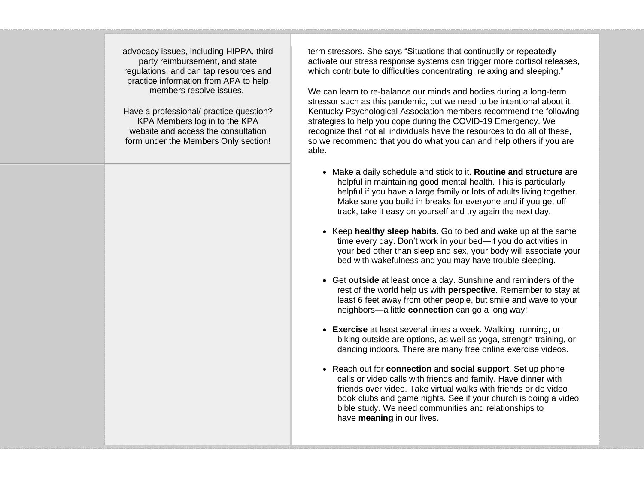advocacy issues, including HIPPA, third party reimbursement, and state regulations, and can tap resources and practice information from APA to help members resolve issues.

Have a professional/ practice question? KPA Members log in to the KPA website and access the consultation form under the Members Only section!

term stressors. She says "Situations that continually or repeatedly activate our stress response systems can trigger more cortisol releases, which contribute to difficulties concentrating, relaxing and sleeping."

We can learn to re-balance our minds and bodies during a long-term stressor such as this pandemic, but we need to be intentional about it. Kentucky Psychological Association members recommend the following strategies to help you cope during the COVID-19 Emergency. We recognize that not all individuals have the resources to do all of these, so we recommend that you do what you can and help others if you are able.

- Make a daily schedule and stick to it. **Routine and structure** are helpful in maintaining good mental health. This is particularly helpful if you have a large family or lots of adults living together. Make sure you build in breaks for everyone and if you get off track, take it easy on yourself and try again the next day.
- Keep **healthy sleep habits**. Go to bed and wake up at the same time every day. Don't work in your bed—if you do activities in your bed other than sleep and sex, your body will associate your bed with wakefulness and you may have trouble sleeping.
- Get **outside** at least once a day. Sunshine and reminders of the rest of the world help us with **perspective**. Remember to stay at least 6 feet away from other people, but smile and wave to your neighbors—a little **connection** can go a long way!
- **Exercise** at least several times a week. Walking, running, or biking outside are options, as well as yoga, strength training, or dancing indoors. There are many free online exercise videos.
- Reach out for **connection** and **social support**. Set up phone calls or video calls with friends and family. Have dinner with friends over video. Take virtual walks with friends or do video book clubs and game nights. See if your church is doing a video bible study. We need communities and relationships to have **meaning** in our lives.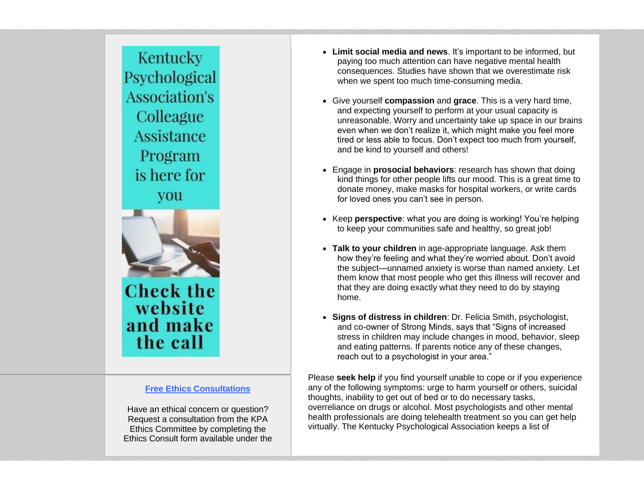Kentucky Psychological **Association's** Colleague **Assistance** Program is here for **vou** 



**Check the** website and make the call

#### **Free Ethics Consultations**

Have an ethical concern or question? Request a consultation from the KPA Ethics Committee by completing the Ethics Consult form available under the

- **Limit social media and news**. It's important to be informed, but paying too much attention can have negative mental health consequences. Studies have shown that we overestimate risk when we spent too much time-consuming media.
- Give yourself **compassion** and **grace**. This is a very hard time, and expecting yourself to perform at your usual capacity is unreasonable. Worry and uncertainty take up space in our brains even when we don't realize it, which might make you feel more tired or less able to focus. Don't expect too much from yourself, and be kind to yourself and others!
- Engage in **prosocial behaviors**: research has shown that doing kind things for other people lifts our mood. This is a great time to donate money, make masks for hospital workers, or write cards for loved ones you can't see in person.
- Keep **perspective**: what you are doing is working! You're helping to keep your communities safe and healthy, so great job!
- **Talk to your children** in age-appropriate language. Ask them how they're feeling and what they're worried about. Don't avoid the subject—unnamed anxiety is worse than named anxiety. Let them know that most people who get this illness will recover and that they are doing exactly what they need to do by staying home.
- **Signs of distress in children**: Dr. Felicia Smith, psychologist, and co-owner of Strong Minds, says that "Signs of increased stress in children may include changes in mood, behavior, sleep and eating patterns. If parents notice any of these changes, reach out to a psychologist in your area."

Please **seek help** if you find yourself unable to cope or if you experience any of the following symptoms: urge to harm yourself or others, suicidal thoughts, inability to get out of bed or to do necessary tasks, overreliance on drugs or alcohol. Most psychologists and other mental health professionals are doing telehealth treatment so you can get help virtually. The Kentucky Psychological Association keeps a list of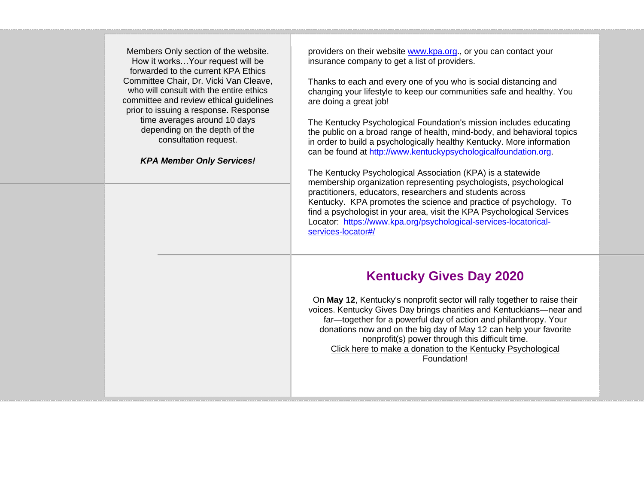Members Only section of the website. How it works…Your request will be forwarded to the current KPA Ethics Committee Chair, Dr. Vicki Van Cleave, who will consult with the entire ethics committee and review ethical guidelines prior to issuing a response. Response time averages around 10 days depending on the depth of the consultation request.

#### *KPA Member Only Services!*

providers on their website [www.kpa.org.](http://www.kpa.org/), or you can contact your insurance company to get a list of providers.

Thanks to each and every one of you who is social distancing and changing your lifestyle to keep our communities safe and healthy. You are doing a great job!

The Kentucky Psychological Foundation's mission includes educating the public on a broad range of health, mind-body, and behavioral topics in order to build a psychologically healthy Kentucky. More information can be found at [http://www.kentuckypsychologicalfoundation.org.](http://www.kentuckypsychologicalfoundation.org/)

The Kentucky Psychological Association (KPA) is a statewide membership organization representing psychologists, psychological practitioners, educators, researchers and students across Kentucky. KPA promotes the science and practice of psychology. To find a psychologist in your area, visit the KPA Psychological Services Locator: [https://www.kpa.org/psychological-services-locatorical](https://www.kpa.org/psychological-services-locatorical-services-locator#/)[services-locator#/](https://www.kpa.org/psychological-services-locatorical-services-locator#/)

## **Kentucky Gives Day 2020**

On **May 12**, Kentucky's nonprofit sector will rally together to raise their voices. Kentucky Gives Day brings charities and Kentuckians—near and far—together for a powerful day of action and philanthropy. Your donations now and on the big day of May 12 can help your favorite nonprofit(s) power through this difficult time. [Click here to make a donation to the Kentucky Psychological](https://www.kygives.org/organizations/kentucky-psychological-foundation)  [Foundation!](https://www.kygives.org/organizations/kentucky-psychological-foundation)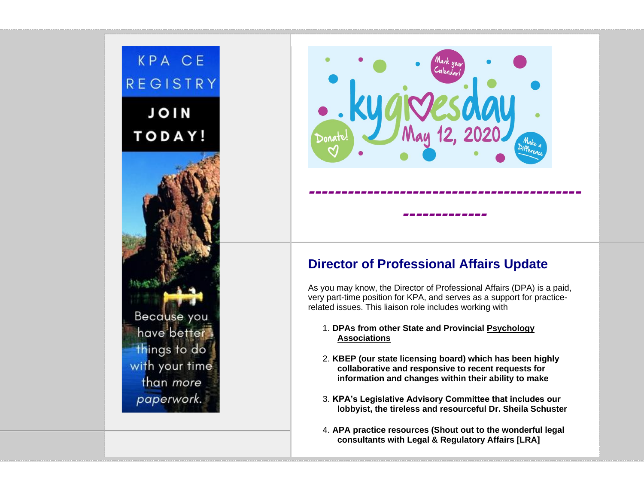



# **Director of Professional Affairs Update**

As you may know, the Director of Professional Affairs (DPA) is a paid, very part-time position for KPA, and serves as a support for practicerelated issues. This liaison role includes working with

#### 1. **DPAs from other State and Provincial Psychology Associations**

- 2. **KBEP (our state licensing board) which has been highly collaborative and responsive to recent requests for information and changes within their ability to make**
- 3. **KPA's Legislative Advisory Committee that includes our lobbyist, the tireless and resourceful Dr. Sheila Schuster**
- 4. **APA practice resources (Shout out to the wonderful legal consultants with Legal & Regulatory Affairs [LRA]**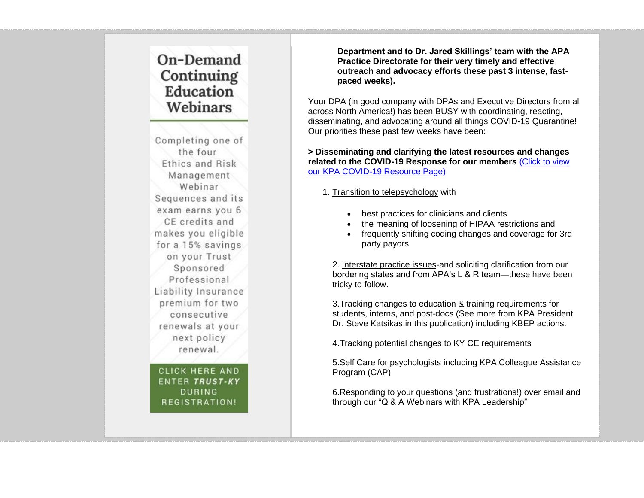# On-Demand Continuing **Education** Webinars

Completing one of the four Ethics and Risk Management Webinar Sequences and its exam earns you 6 CE credits and makes you eligible for a 15% savings on your Trust Sponsored Professional Liability Insurance premium for two consecutive renewals at your next policy renewal.

**CLICK HERE AND ENTER TRUST-KY DURING** REGISTRATION!

**Department and to Dr. Jared Skillings' team with the APA Practice Directorate for their very timely and effective outreach and advocacy efforts these past 3 intense, fastpaced weeks).**

Your DPA (in good company with DPAs and Executive Directors from all across North America!) has been BUSY with coordinating, reacting, disseminating, and advocating around all things COVID-19 Quarantine! Our priorities these past few weeks have been:

**> Disseminating and clarifying the latest resources and changes related to the COVID-19 Response for our members** [\(Click to view](https://kpa.memberclicks.net/index.php?option=com_mclogin&view=mclogin&return=aHR0cHM6Ly93d3cua3BhLm9yZy9rcGEtbWVtYmVyLWNvdmlkLTE5LXJlc291cmNlP3NlcnZJZD03NTI4?servId=7528&option=com_mclogin&view=mclogin&return=aHR0cHM6Ly93d3cua3BhLm9yZy9rcGEtbWVtYmVyLWNvdmlkLTE5LXJlc291cmNlP3NlcnZJZD03NTI4)  [our KPA COVID-19 Resource Page\)](https://kpa.memberclicks.net/index.php?option=com_mclogin&view=mclogin&return=aHR0cHM6Ly93d3cua3BhLm9yZy9rcGEtbWVtYmVyLWNvdmlkLTE5LXJlc291cmNlP3NlcnZJZD03NTI4?servId=7528&option=com_mclogin&view=mclogin&return=aHR0cHM6Ly93d3cua3BhLm9yZy9rcGEtbWVtYmVyLWNvdmlkLTE5LXJlc291cmNlP3NlcnZJZD03NTI4)

1. Transition to telepsychology with

- best practices for clinicians and clients
- the meaning of loosening of HIPAA restrictions and
- frequently shifting coding changes and coverage for 3rd party payors

2. Interstate practice issues-and soliciting clarification from our bordering states and from APA's L & R team—these have been tricky to follow.

3.Tracking changes to education & training requirements for students, interns, and post-docs (See more from KPA President Dr. Steve Katsikas in this publication) including KBEP actions.

4.Tracking potential changes to KY CE requirements

5.Self Care for psychologists including KPA Colleague Assistance Program (CAP)

6.Responding to your questions (and frustrations!) over email and through our "Q & A Webinars with KPA Leadership"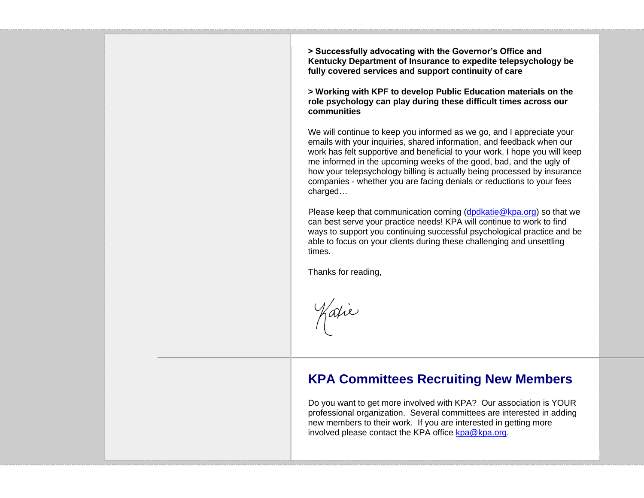**> Successfully advocating with the Governor's Office and Kentucky Department of Insurance to expedite telepsychology be fully covered services and support continuity of care**

**> Working with KPF to develop Public Education materials on the role psychology can play during these difficult times across our communities**

We will continue to keep you informed as we go, and I appreciate your emails with your inquiries, shared information, and feedback when our work has felt supportive and beneficial to your work. I hope you will keep me informed in the upcoming weeks of the good, bad, and the ugly of how your telepsychology billing is actually being processed by insurance companies - whether you are facing denials or reductions to your fees charged…

Please keep that communication coming [\(dpdkatie@kpa.org\)](mailto:dpdkatie@kpa.org) so that we can best serve your practice needs! KPA will continue to work to find ways to support you continuing successful psychological practice and be able to focus on your clients during these challenging and unsettling times.

Thanks for reading,

Katie

## **KPA Committees Recruiting New Members**

Do you want to get more involved with KPA? Our association is YOUR professional organization. Several committees are interested in adding new members to their work. If you are interested in getting more involved please contact the KPA office  $kpa@kpa.org$ .